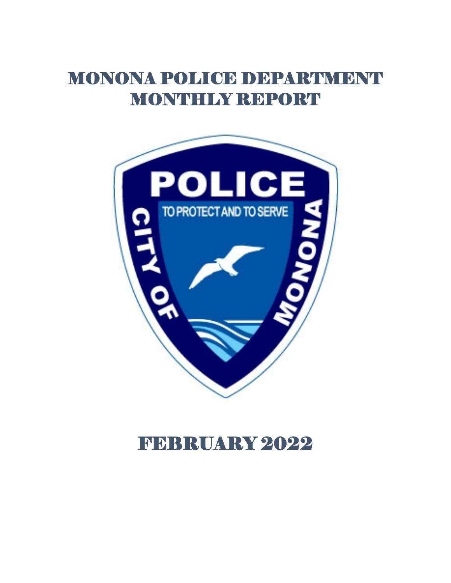# MONONA POLICE DEPARTMENT MONTHLY REPORT



# FEBRUARY 2022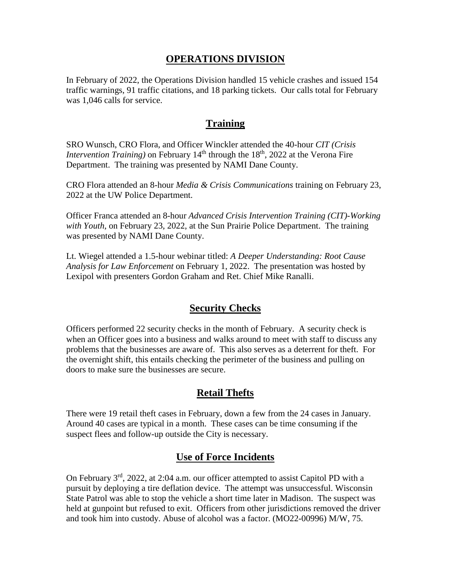## **OPERATIONS DIVISION**

In February of 2022, the Operations Division handled 15 vehicle crashes and issued 154 traffic warnings, 91 traffic citations, and 18 parking tickets. Our calls total for February was 1,046 calls for service.

## **Training**

SRO Wunsch, CRO Flora, and Officer Winckler attended the 40-hour *CIT (Crisis Intervention Training*) on February  $14<sup>th</sup>$  through the  $18<sup>th</sup>$ , 2022 at the Verona Fire Department. The training was presented by NAMI Dane County.

CRO Flora attended an 8-hour *Media & Crisis Communications* training on February 23, 2022 at the UW Police Department.

Officer Franca attended an 8-hour *Advanced Crisis Intervention Training (CIT)-Working with Youth*, on February 23, 2022, at the Sun Prairie Police Department. The training was presented by NAMI Dane County.

Lt. Wiegel attended a 1.5-hour webinar titled: *A Deeper Understanding: Root Cause Analysis for Law Enforcement* on February 1, 2022. The presentation was hosted by Lexipol with presenters Gordon Graham and Ret. Chief Mike Ranalli.

## **Security Checks**

Officers performed 22 security checks in the month of February. A security check is when an Officer goes into a business and walks around to meet with staff to discuss any problems that the businesses are aware of. This also serves as a deterrent for theft. For the overnight shift, this entails checking the perimeter of the business and pulling on doors to make sure the businesses are secure.

# **Retail Thefts**

There were 19 retail theft cases in February, down a few from the 24 cases in January. Around 40 cases are typical in a month. These cases can be time consuming if the suspect flees and follow-up outside the City is necessary.

# **Use of Force Incidents**

On February  $3<sup>rd</sup>$ , 2022, at 2:04 a.m. our officer attempted to assist Capitol PD with a pursuit by deploying a tire deflation device. The attempt was unsuccessful. Wisconsin State Patrol was able to stop the vehicle a short time later in Madison. The suspect was held at gunpoint but refused to exit. Officers from other jurisdictions removed the driver and took him into custody. Abuse of alcohol was a factor. (MO22-00996) M/W, 75.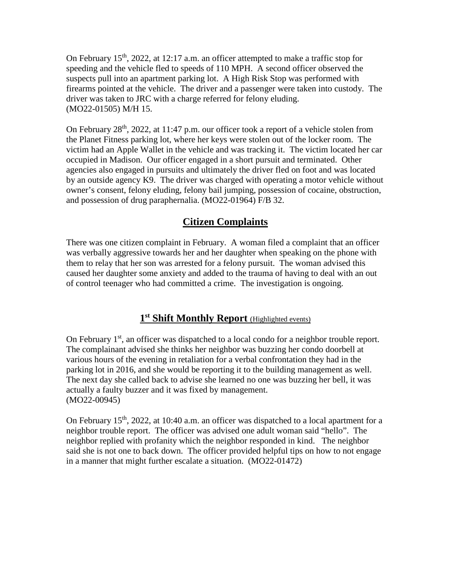On February  $15<sup>th</sup>$ , 2022, at 12:17 a.m. an officer attempted to make a traffic stop for speeding and the vehicle fled to speeds of 110 MPH. A second officer observed the suspects pull into an apartment parking lot. A High Risk Stop was performed with firearms pointed at the vehicle. The driver and a passenger were taken into custody. The driver was taken to JRC with a charge referred for felony eluding. (MO22-01505) M/H 15.

On February  $28<sup>th</sup>$ ,  $2022$ , at 11:47 p.m. our officer took a report of a vehicle stolen from the Planet Fitness parking lot, where her keys were stolen out of the locker room. The victim had an Apple Wallet in the vehicle and was tracking it. The victim located her car occupied in Madison. Our officer engaged in a short pursuit and terminated. Other agencies also engaged in pursuits and ultimately the driver fled on foot and was located by an outside agency K9. The driver was charged with operating a motor vehicle without owner's consent, felony eluding, felony bail jumping, possession of cocaine, obstruction, and possession of drug paraphernalia. (MO22-01964) F/B 32.

# **Citizen Complaints**

There was one citizen complaint in February. A woman filed a complaint that an officer was verbally aggressive towards her and her daughter when speaking on the phone with them to relay that her son was arrested for a felony pursuit. The woman advised this caused her daughter some anxiety and added to the trauma of having to deal with an out of control teenager who had committed a crime. The investigation is ongoing.

## **1st Shift Monthly Report** (Highlighted events)

On February  $1<sup>st</sup>$ , an officer was dispatched to a local condo for a neighbor trouble report. The complainant advised she thinks her neighbor was buzzing her condo doorbell at various hours of the evening in retaliation for a verbal confrontation they had in the parking lot in 2016, and she would be reporting it to the building management as well. The next day she called back to advise she learned no one was buzzing her bell, it was actually a faulty buzzer and it was fixed by management. (MO22-00945)

On February  $15<sup>th</sup>$ , 2022, at 10:40 a.m. an officer was dispatched to a local apartment for a neighbor trouble report. The officer was advised one adult woman said "hello". The neighbor replied with profanity which the neighbor responded in kind. The neighbor said she is not one to back down. The officer provided helpful tips on how to not engage in a manner that might further escalate a situation. (MO22-01472)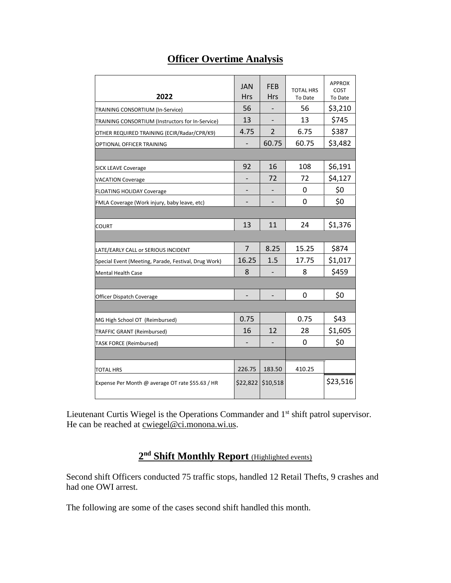# **Officer Overtime Analysis**

|                                                      | JAN            | <b>FFR</b>     | <b>TOTAL HRS</b> | <b>APPROX</b><br>COST |
|------------------------------------------------------|----------------|----------------|------------------|-----------------------|
| 2022                                                 | <b>Hrs</b>     | <b>Hrs</b>     | To Date          | To Date               |
| TRAINING CONSORTIUM (In-Service)                     | 56             |                | 56               | \$3,210               |
| TRAINING CONSORTIUM (Instructors for In-Service)     | 13             |                | 13               | \$745                 |
| OTHER REQUIRED TRAINING (ECIR/Radar/CPR/K9)          | 4.75           | $\overline{2}$ | 6.75             | \$387                 |
| OPTIONAL OFFICER TRAINING                            |                | 60.75          | 60.75            | \$3,482               |
|                                                      |                |                |                  |                       |
| <b>SICK LEAVE Coverage</b>                           | 92             | 16             | 108              | \$6,191               |
| <b>VACATION Coverage</b>                             |                | 72             | 72               | \$4,127               |
| <b>FLOATING HOLIDAY Coverage</b>                     |                |                | 0                | \$0                   |
| FMLA Coverage (Work injury, baby leave, etc)         |                |                | 0                | \$0                   |
|                                                      |                |                |                  |                       |
| <b>COURT</b>                                         | 13             | 11             | 24               | \$1,376               |
|                                                      |                |                |                  |                       |
| LATE/EARLY CALL or SERIOUS INCIDENT                  | $\overline{7}$ | 8.25           | 15.25            | \$874                 |
| Special Event (Meeting, Parade, Festival, Drug Work) | 16.25          | 1.5            | 17.75            | \$1,017               |
| Mental Health Case                                   | 8              |                | 8                | \$459                 |
|                                                      |                |                |                  |                       |
| Officer Dispatch Coverage                            |                |                | 0                | \$0                   |
|                                                      |                |                |                  |                       |
| MG High School OT (Reimbursed)                       | 0.75           |                | 0.75             | \$43                  |
| TRAFFIC GRANT (Reimbursed)                           | 16             | 12             | 28               | \$1,605               |
| <b>TASK FORCE (Reimbursed)</b>                       |                |                | 0                | \$0                   |
|                                                      |                |                |                  |                       |
| <b>TOTAL HRS</b>                                     | 226.75         | 183.50         | 410.25           |                       |
| Expense Per Month @ average OT rate \$55.63 / HR     | \$22,822       | \$10,518       |                  | \$23,516              |

Lieutenant Curtis Wiegel is the Operations Commander and 1<sup>st</sup> shift patrol supervisor. He can be reached at <u>cwiegel@ci.monona.wi.us</u>.

# **2nd Shift Monthly Report** (Highlighted events)

Second shift Officers conducted 75 traffic stops, handled 12 Retail Thefts, 9 crashes and had one OWI arrest.

The following are some of the cases second shift handled this month.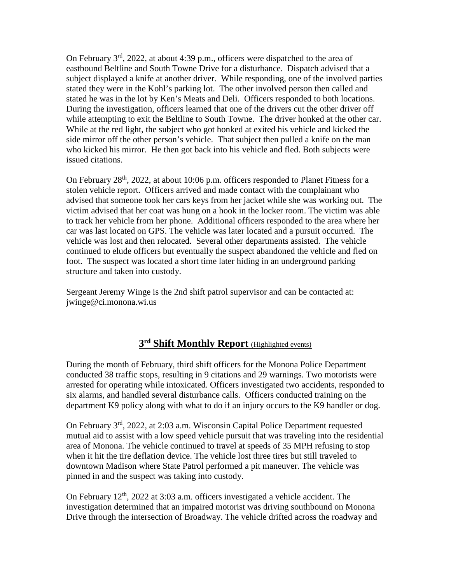On February 3rd, 2022, at about 4:39 p.m., officers were dispatched to the area of eastbound Beltline and South Towne Drive for a disturbance. Dispatch advised that a subject displayed a knife at another driver. While responding, one of the involved parties stated they were in the Kohl's parking lot. The other involved person then called and stated he was in the lot by Ken's Meats and Deli. Officers responded to both locations. During the investigation, officers learned that one of the drivers cut the other driver off while attempting to exit the Beltline to South Towne. The driver honked at the other car. While at the red light, the subject who got honked at exited his vehicle and kicked the side mirror off the other person's vehicle. That subject then pulled a knife on the man who kicked his mirror. He then got back into his vehicle and fled. Both subjects were issued citations.

On February  $28<sup>th</sup>$ , 2022, at about 10:06 p.m. officers responded to Planet Fitness for a stolen vehicle report. Officers arrived and made contact with the complainant who advised that someone took her cars keys from her jacket while she was working out. The victim advised that her coat was hung on a hook in the locker room. The victim was able to track her vehicle from her phone. Additional officers responded to the area where her car was last located on GPS. The vehicle was later located and a pursuit occurred. The vehicle was lost and then relocated. Several other departments assisted. The vehicle continued to elude officers but eventually the suspect abandoned the vehicle and fled on foot. The suspect was located a short time later hiding in an underground parking structure and taken into custody.

Sergeant Jeremy Winge is the 2nd shift patrol supervisor and can be contacted at: jwinge@ci.monona.wi.us

## **3rd Shift Monthly Report** (Highlighted events)

During the month of February, third shift officers for the Monona Police Department conducted 38 traffic stops, resulting in 9 citations and 29 warnings. Two motorists were arrested for operating while intoxicated. Officers investigated two accidents, responded to six alarms, and handled several disturbance calls. Officers conducted training on the department K9 policy along with what to do if an injury occurs to the K9 handler or dog.

On February 3rd, 2022, at 2:03 a.m. Wisconsin Capital Police Department requested mutual aid to assist with a low speed vehicle pursuit that was traveling into the residential area of Monona. The vehicle continued to travel at speeds of 35 MPH refusing to stop when it hit the tire deflation device. The vehicle lost three tires but still traveled to downtown Madison where State Patrol performed a pit maneuver. The vehicle was pinned in and the suspect was taking into custody.

On February  $12<sup>th</sup>$ , 2022 at 3:03 a.m. officers investigated a vehicle accident. The investigation determined that an impaired motorist was driving southbound on Monona Drive through the intersection of Broadway. The vehicle drifted across the roadway and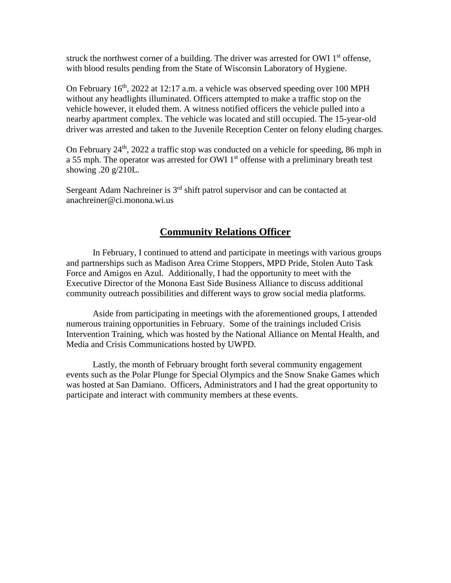struck the northwest corner of a building. The driver was arrested for OWI  $1<sup>st</sup>$  offense, with blood results pending from the State of Wisconsin Laboratory of Hygiene.

On February  $16<sup>th</sup>$ , 2022 at 12:17 a.m. a vehicle was observed speeding over 100 MPH without any headlights illuminated. Officers attempted to make a traffic stop on the vehicle however, it eluded them. A witness notified officers the vehicle pulled into a nearby apartment complex. The vehicle was located and still occupied. The 15-year-old driver was arrested and taken to the Juvenile Reception Center on felony eluding charges.

On February 24th, 2022 a traffic stop was conducted on a vehicle for speeding, 86 mph in a 55 mph. The operator was arrested for OWI 1<sup>st</sup> offense with a preliminary breath test showing .20 g/210L.

Sergeant Adam Nachreiner is 3<sup>rd</sup> shift patrol supervisor and can be contacted at anachreiner@ci.monona.wi.us

## **Community Relations Officer**

In February, I continued to attend and participate in meetings with various groups and partnerships such as Madison Area Crime Stoppers, MPD Pride, Stolen Auto Task Force and Amigos en Azul. Additionally, I had the opportunity to meet with the Executive Director of the Monona East Side Business Alliance to discuss additional community outreach possibilities and different ways to grow social media platforms.

Aside from participating in meetings with the aforementioned groups, I attended numerous training opportunities in February. Some of the trainings included Crisis Intervention Training, which was hosted by the National Alliance on Mental Health, and Media and Crisis Communications hosted by UWPD.

Lastly, the month of February brought forth several community engagement events such as the Polar Plunge for Special Olympics and the Snow Snake Games which was hosted at San Damiano. Officers, Administrators and I had the great opportunity to participate and interact with community members at these events.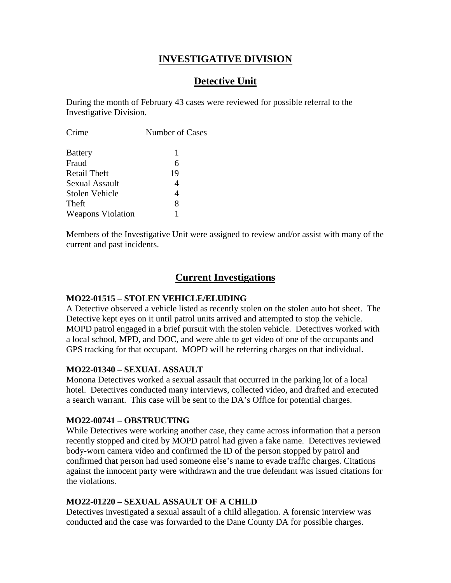## **INVESTIGATIVE DIVISION**

## **Detective Unit**

During the month of February 43 cases were reviewed for possible referral to the Investigative Division.

| Number of Cases |  |  |
|-----------------|--|--|
| 1               |  |  |
| 6               |  |  |
| 19              |  |  |
| 4               |  |  |
| 4               |  |  |
| 8               |  |  |
|                 |  |  |
|                 |  |  |

Members of the Investigative Unit were assigned to review and/or assist with many of the current and past incidents.

## **Current Investigations**

### **MO22-01515 – STOLEN VEHICLE/ELUDING**

A Detective observed a vehicle listed as recently stolen on the stolen auto hot sheet. The Detective kept eyes on it until patrol units arrived and attempted to stop the vehicle. MOPD patrol engaged in a brief pursuit with the stolen vehicle. Detectives worked with a local school, MPD, and DOC, and were able to get video of one of the occupants and GPS tracking for that occupant. MOPD will be referring charges on that individual.

#### **MO22-01340 – SEXUAL ASSAULT**

Monona Detectives worked a sexual assault that occurred in the parking lot of a local hotel. Detectives conducted many interviews, collected video, and drafted and executed a search warrant. This case will be sent to the DA's Office for potential charges.

### **MO22-00741 – OBSTRUCTING**

While Detectives were working another case, they came across information that a person recently stopped and cited by MOPD patrol had given a fake name. Detectives reviewed body-worn camera video and confirmed the ID of the person stopped by patrol and confirmed that person had used someone else's name to evade traffic charges. Citations against the innocent party were withdrawn and the true defendant was issued citations for the violations.

### **MO22-01220 – SEXUAL ASSAULT OF A CHILD**

Detectives investigated a sexual assault of a child allegation. A forensic interview was conducted and the case was forwarded to the Dane County DA for possible charges.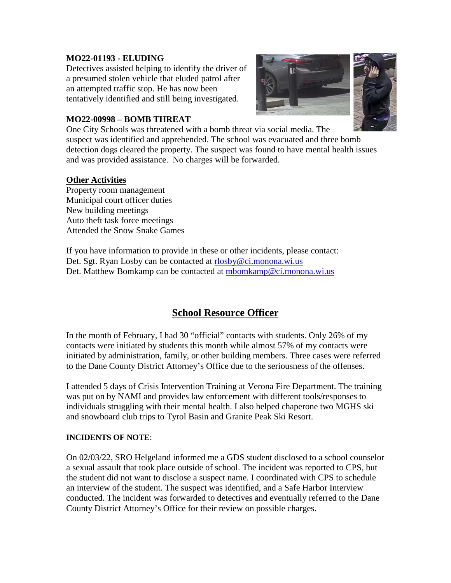#### **MO22-01193 - ELUDING**

Detectives assisted helping to identify the driver of a presumed stolen vehicle that eluded patrol after an attempted traffic stop. He has now been tentatively identified and still being investigated.



#### **MO22-00998 – BOMB THREAT**

One City Schools was threatened with a bomb threat via social media. The suspect was identified and apprehended. The school was evacuated and three bomb detection dogs cleared the property. The suspect was found to have mental health issues and was provided assistance. No charges will be forwarded.

#### **Other Activities**

Property room management Municipal court officer duties New building meetings Auto theft task force meetings Attended the Snow Snake Games

If you have information to provide in these or other incidents, please contact: Det. Sgt. Ryan Losby can be contacted at [rlosby@ci.monona.wi.us](mailto:rlosby@ci.monona.wi.us) Det. Matthew Bomkamp can be contacted at [mbomkamp@ci.monona.wi.us](mailto:mbomkamp@ci.monona.wi.us)

# **School Resource Officer**

In the month of February, I had 30 "official" contacts with students. Only 26% of my contacts were initiated by students this month while almost 57% of my contacts were initiated by administration, family, or other building members. Three cases were referred to the Dane County District Attorney's Office due to the seriousness of the offenses.

I attended 5 days of Crisis Intervention Training at Verona Fire Department. The training was put on by NAMI and provides law enforcement with different tools/responses to individuals struggling with their mental health. I also helped chaperone two MGHS ski and snowboard club trips to Tyrol Basin and Granite Peak Ski Resort.

#### **INCIDENTS OF NOTE**:

On 02/03/22, SRO Helgeland informed me a GDS student disclosed to a school counselor a sexual assault that took place outside of school. The incident was reported to CPS, but the student did not want to disclose a suspect name. I coordinated with CPS to schedule an interview of the student. The suspect was identified, and a Safe Harbor Interview conducted. The incident was forwarded to detectives and eventually referred to the Dane County District Attorney's Office for their review on possible charges.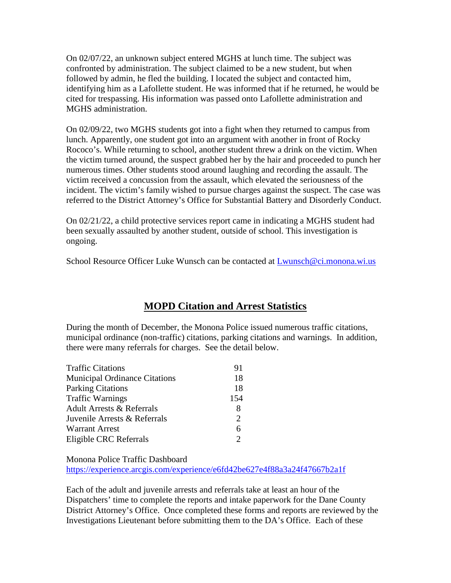On 02/07/22, an unknown subject entered MGHS at lunch time. The subject was confronted by administration. The subject claimed to be a new student, but when followed by admin, he fled the building. I located the subject and contacted him, identifying him as a Lafollette student. He was informed that if he returned, he would be cited for trespassing. His information was passed onto Lafollette administration and MGHS administration.

On 02/09/22, two MGHS students got into a fight when they returned to campus from lunch. Apparently, one student got into an argument with another in front of Rocky Rococo's. While returning to school, another student threw a drink on the victim. When the victim turned around, the suspect grabbed her by the hair and proceeded to punch her numerous times. Other students stood around laughing and recording the assault. The victim received a concussion from the assault, which elevated the seriousness of the incident. The victim's family wished to pursue charges against the suspect. The case was referred to the District Attorney's Office for Substantial Battery and Disorderly Conduct.

On 02/21/22, a child protective services report came in indicating a MGHS student had been sexually assaulted by another student, outside of school. This investigation is ongoing.

School Resource Officer Luke Wunsch can be contacted at [Lwunsch@ci.monona.wi.us](mailto:Lwunsch@ci.monona.wi.us)

# **MOPD Citation and Arrest Statistics**

During the month of December, the Monona Police issued numerous traffic citations, municipal ordinance (non-traffic) citations, parking citations and warnings. In addition, there were many referrals for charges. See the detail below.

| <b>Traffic Citations</b>             | 91  |
|--------------------------------------|-----|
| <b>Municipal Ordinance Citations</b> | 18  |
| <b>Parking Citations</b>             | 18  |
| <b>Traffic Warnings</b>              | 154 |
| <b>Adult Arrests &amp; Referrals</b> |     |
| Juvenile Arrests & Referrals         |     |
| <b>Warrant Arrest</b>                | 6   |
| Eligible CRC Referrals               |     |
|                                      |     |

Monona Police Traffic Dashboard <https://experience.arcgis.com/experience/e6fd42be627e4f88a3a24f47667b2a1f>

Each of the adult and juvenile arrests and referrals take at least an hour of the Dispatchers' time to complete the reports and intake paperwork for the Dane County District Attorney's Office. Once completed these forms and reports are reviewed by the Investigations Lieutenant before submitting them to the DA's Office. Each of these